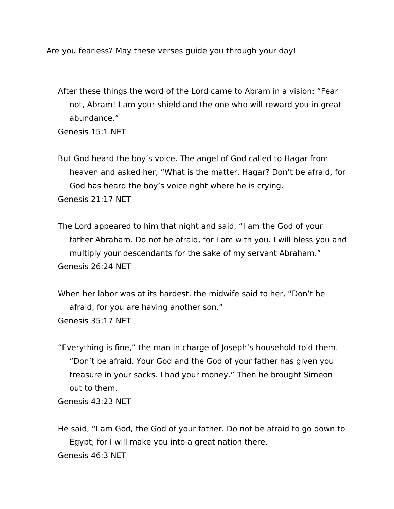Are you fearless? May these verses guide you through your day!

After these things the word of the Lord came to Abram in a vision: "Fear not, Abram! I am your shield and the one who will reward you in great abundance."

Genesis 15:1 NET

But God heard the boy's voice. The angel of God called to Hagar from heaven and asked her, "What is the matter, Hagar? Don't be afraid, for God has heard the boy's voice right where he is crying. Genesis 21:17 NET

The Lord appeared to him that night and said, "I am the God of your father Abraham. Do not be afraid, for I am with you. I will bless you and multiply your descendants for the sake of my servant Abraham." Genesis 26:24 NET

When her labor was at its hardest, the midwife said to her, "Don't be afraid, for you are having another son." Genesis 35:17 NET

"Everything is fine," the man in charge of Joseph's household told them. "Don't be afraid. Your God and the God of your father has given you treasure in your sacks. I had your money." Then he brought Simeon out to them.

Genesis 43:23 NET

He said, "I am God, the God of your father. Do not be afraid to go down to Egypt, for I will make you into a great nation there. Genesis 46:3 NET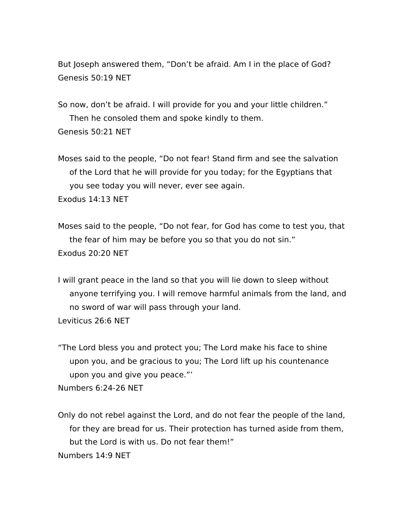But Joseph answered them, "Don't be afraid. Am I in the place of God? Genesis 50:19 NET

So now, don't be afraid. I will provide for you and your little children." Then he consoled them and spoke kindly to them. Genesis 50:21 NET

Moses said to the people, "Do not fear! Stand firm and see the salvation of the Lord that he will provide for you today; for the Egyptians that you see today you will never, ever see again. Exodus 14:13 NET

Moses said to the people, "Do not fear, for God has come to test you, that the fear of him may be before you so that you do not sin." Exodus 20:20 NET

I will grant peace in the land so that you will lie down to sleep without anyone terrifying you. I will remove harmful animals from the land, and no sword of war will pass through your land. Leviticus 26:6 NET

"The Lord bless you and protect you; The Lord make his face to shine upon you, and be gracious to you; The Lord lift up his countenance upon you and give you peace."'

Numbers 6:24-26 NET

Only do not rebel against the Lord, and do not fear the people of the land, for they are bread for us. Their protection has turned aside from them, but the Lord is with us. Do not fear them!" Numbers 14:9 NET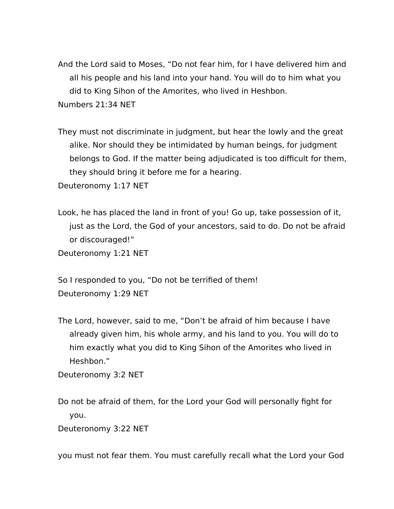And the Lord said to Moses, "Do not fear him, for I have delivered him and all his people and his land into your hand. You will do to him what you did to King Sihon of the Amorites, who lived in Heshbon. Numbers 21:34 NET

They must not discriminate in judgment, but hear the lowly and the great alike. Nor should they be intimidated by human beings, for judgment belongs to God. If the matter being adjudicated is too difficult for them, they should bring it before me for a hearing.

Deuteronomy 1:17 NET

Look, he has placed the land in front of you! Go up, take possession of it, just as the Lord, the God of your ancestors, said to do. Do not be afraid or discouraged!" Deuteronomy 1:21 NET

So I responded to you, "Do not be terrified of them! Deuteronomy 1:29 NET

The Lord, however, said to me, "Don't be afraid of him because I have already given him, his whole army, and his land to you. You will do to him exactly what you did to King Sihon of the Amorites who lived in Heshbon."

Deuteronomy 3:2 NET

Do not be afraid of them, for the Lord your God will personally fight for you.

Deuteronomy 3:22 NET

you must not fear them. You must carefully recall what the Lord your God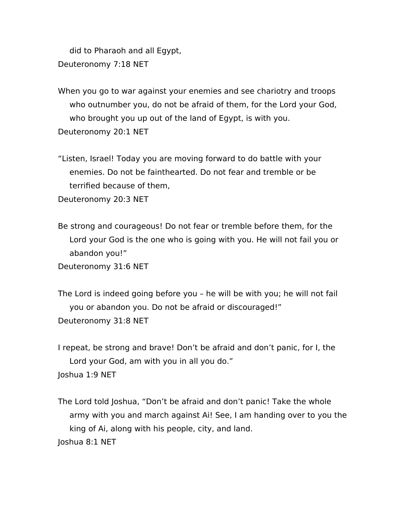did to Pharaoh and all Egypt, Deuteronomy 7:18 NET

When you go to war against your enemies and see chariotry and troops who outnumber you, do not be afraid of them, for the Lord your God, who brought you up out of the land of Egypt, is with you. Deuteronomy 20:1 NET

"Listen, Israel! Today you are moving forward to do battle with your enemies. Do not be fainthearted. Do not fear and tremble or be terrified because of them,

Deuteronomy 20:3 NET

Be strong and courageous! Do not fear or tremble before them, for the Lord your God is the one who is going with you. He will not fail you or abandon you!"

Deuteronomy 31:6 NET

The Lord is indeed going before you – he will be with you; he will not fail you or abandon you. Do not be afraid or discouraged!" Deuteronomy 31:8 NET

I repeat, be strong and brave! Don't be afraid and don't panic, for I, the Lord your God, am with you in all you do."

Joshua 1:9 NET

The Lord told Joshua, "Don't be afraid and don't panic! Take the whole army with you and march against Ai! See, I am handing over to you the king of Ai, along with his people, city, and land. Joshua 8:1 NET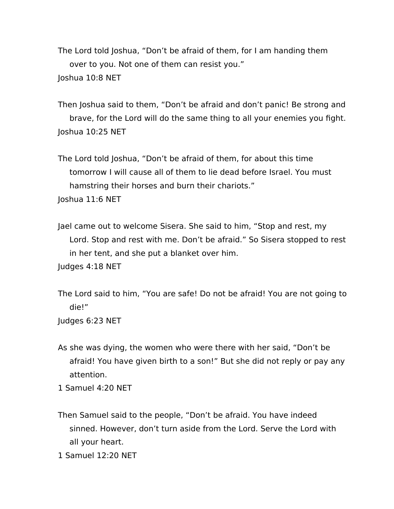The Lord told Joshua, "Don't be afraid of them, for I am handing them over to you. Not one of them can resist you." Joshua 10:8 NET

Then Joshua said to them, "Don't be afraid and don't panic! Be strong and brave, for the Lord will do the same thing to all your enemies you fight. Joshua 10:25 NET

The Lord told Joshua, "Don't be afraid of them, for about this time tomorrow I will cause all of them to lie dead before Israel. You must hamstring their horses and burn their chariots." Joshua 11:6 NET

Jael came out to welcome Sisera. She said to him, "Stop and rest, my Lord. Stop and rest with me. Don't be afraid." So Sisera stopped to rest in her tent, and she put a blanket over him.

Judges 4:18 NET

The Lord said to him, "You are safe! Do not be afraid! You are not going to die!"

Judges 6:23 NET

As she was dying, the women who were there with her said, "Don't be afraid! You have given birth to a son!" But she did not reply or pay any attention.

1 Samuel 4:20 NET

Then Samuel said to the people, "Don't be afraid. You have indeed sinned. However, don't turn aside from the Lord. Serve the Lord with all your heart.

1 Samuel 12:20 NET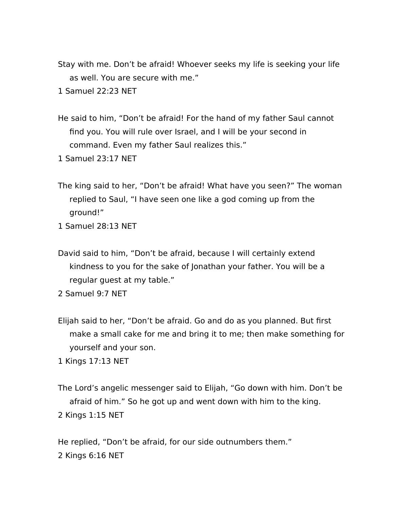Stay with me. Don't be afraid! Whoever seeks my life is seeking your life as well. You are secure with me."

1 Samuel 22:23 NET

He said to him, "Don't be afraid! For the hand of my father Saul cannot find you. You will rule over Israel, and I will be your second in command. Even my father Saul realizes this."

1 Samuel 23:17 NET

- The king said to her, "Don't be afraid! What have you seen?" The woman replied to Saul, "I have seen one like a god coming up from the ground!"
- 1 Samuel 28:13 NET
- David said to him, "Don't be afraid, because I will certainly extend kindness to you for the sake of Jonathan your father. You will be a regular guest at my table."

2 Samuel 9:7 NET

Elijah said to her, "Don't be afraid. Go and do as you planned. But first make a small cake for me and bring it to me; then make something for yourself and your son.

1 Kings 17:13 NET

The Lord's angelic messenger said to Elijah, "Go down with him. Don't be afraid of him." So he got up and went down with him to the king. 2 Kings 1:15 NET

He replied, "Don't be afraid, for our side outnumbers them." 2 Kings 6:16 NET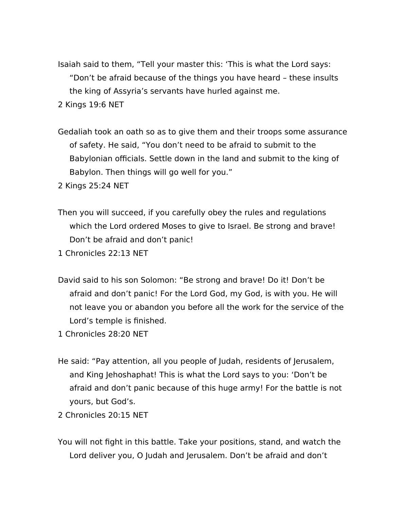Isaiah said to them, "Tell your master this: 'This is what the Lord says: "Don't be afraid because of the things you have heard – these insults the king of Assyria's servants have hurled against me.

2 Kings 19:6 NET

Gedaliah took an oath so as to give them and their troops some assurance of safety. He said, "You don't need to be afraid to submit to the Babylonian officials. Settle down in the land and submit to the king of Babylon. Then things will go well for you."

2 Kings 25:24 NET

Then you will succeed, if you carefully obey the rules and regulations which the Lord ordered Moses to give to Israel. Be strong and brave! Don't be afraid and don't panic!

1 Chronicles 22:13 NET

David said to his son Solomon: "Be strong and brave! Do it! Don't be afraid and don't panic! For the Lord God, my God, is with you. He will not leave you or abandon you before all the work for the service of the Lord's temple is finished.

1 Chronicles 28:20 NET

He said: "Pay attention, all you people of Judah, residents of Jerusalem, and King Jehoshaphat! This is what the Lord says to you: 'Don't be afraid and don't panic because of this huge army! For the battle is not yours, but God's.

2 Chronicles 20:15 NET

You will not fight in this battle. Take your positions, stand, and watch the Lord deliver you, O Judah and Jerusalem. Don't be afraid and don't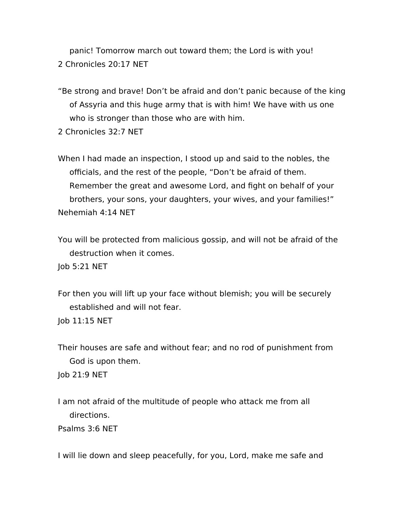panic! Tomorrow march out toward them; the Lord is with you! 2 Chronicles 20:17 NET

"Be strong and brave! Don't be afraid and don't panic because of the king of Assyria and this huge army that is with him! We have with us one who is stronger than those who are with him.

2 Chronicles 32:7 NET

When I had made an inspection, I stood up and said to the nobles, the officials, and the rest of the people, "Don't be afraid of them. Remember the great and awesome Lord, and fight on behalf of your brothers, your sons, your daughters, your wives, and your families!" Nehemiah 4:14 NET

You will be protected from malicious gossip, and will not be afraid of the destruction when it comes.

Job 5:21 NET

For then you will lift up your face without blemish; you will be securely established and will not fear.

Job 11:15 NET

Their houses are safe and without fear; and no rod of punishment from God is upon them.

Job 21:9 NET

I am not afraid of the multitude of people who attack me from all directions.

Psalms 3:6 NET

I will lie down and sleep peacefully, for you, Lord, make me safe and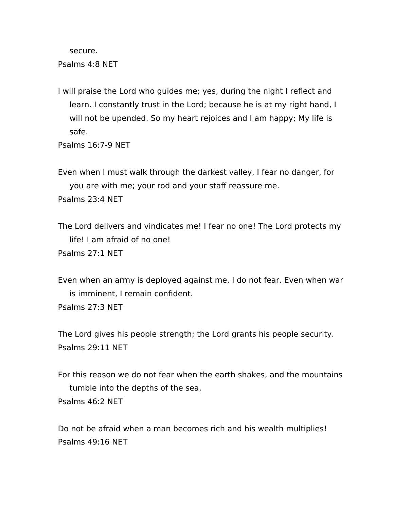secure.

Psalms 4:8 NET

I will praise the Lord who guides me; yes, during the night I reflect and learn. I constantly trust in the Lord; because he is at my right hand, I will not be upended. So my heart rejoices and I am happy; My life is safe.

Psalms 16:7-9 NET

Even when I must walk through the darkest valley, I fear no danger, for you are with me; your rod and your staff reassure me. Psalms 23:4 NET

The Lord delivers and vindicates me! I fear no one! The Lord protects my life! I am afraid of no one! Psalms 27:1 NET

Even when an army is deployed against me, I do not fear. Even when war is imminent, I remain confident. Psalms 27:3 NET

The Lord gives his people strength; the Lord grants his people security. Psalms 29:11 NET

For this reason we do not fear when the earth shakes, and the mountains tumble into the depths of the sea, Psalms 46:2 NET

Do not be afraid when a man becomes rich and his wealth multiplies! Psalms 49:16 NET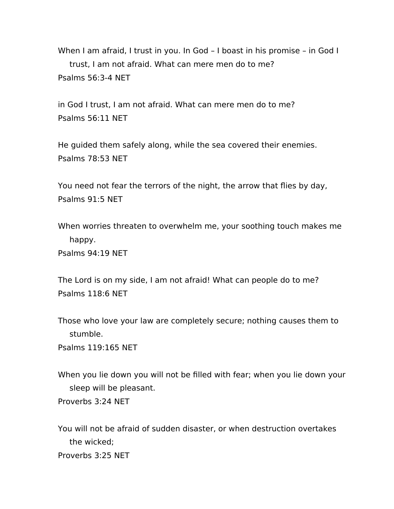When I am afraid, I trust in you. In God – I boast in his promise – in God I trust, I am not afraid. What can mere men do to me? Psalms 56:3-4 NET

in God I trust, I am not afraid. What can mere men do to me? Psalms 56:11 NET

He guided them safely along, while the sea covered their enemies. Psalms 78:53 NET

You need not fear the terrors of the night, the arrow that flies by day, Psalms 91:5 NET

When worries threaten to overwhelm me, your soothing touch makes me happy. Psalms 94:19 NET

The Lord is on my side, I am not afraid! What can people do to me? Psalms 118:6 NET

Those who love your law are completely secure; nothing causes them to stumble.

Psalms 119:165 NET

When you lie down you will not be filled with fear; when you lie down your sleep will be pleasant. Proverbs 3:24 NET

You will not be afraid of sudden disaster, or when destruction overtakes the wicked; Proverbs 3:25 NET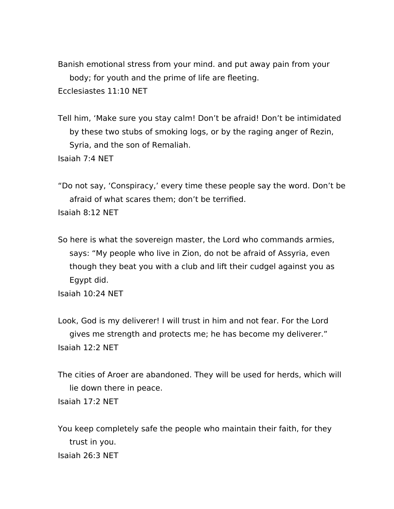Banish emotional stress from your mind. and put away pain from your body; for youth and the prime of life are fleeting. Ecclesiastes 11:10 NET

Tell him, 'Make sure you stay calm! Don't be afraid! Don't be intimidated by these two stubs of smoking logs, or by the raging anger of Rezin, Syria, and the son of Remaliah. Isaiah 7:4 NET

"Do not say, 'Conspiracy,' every time these people say the word. Don't be afraid of what scares them; don't be terrified. Isaiah 8:12 NET

So here is what the sovereign master, the Lord who commands armies, says: "My people who live in Zion, do not be afraid of Assyria, even though they beat you with a club and lift their cudgel against you as Egypt did.

Isaiah 10:24 NET

Look, God is my deliverer! I will trust in him and not fear. For the Lord gives me strength and protects me; he has become my deliverer." Isaiah 12:2 NET

The cities of Aroer are abandoned. They will be used for herds, which will lie down there in peace. Isaiah 17:2 NET

You keep completely safe the people who maintain their faith, for they trust in you. Isaiah 26:3 NET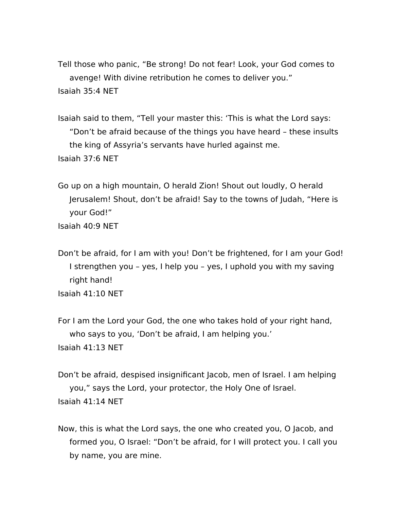Tell those who panic, "Be strong! Do not fear! Look, your God comes to avenge! With divine retribution he comes to deliver you." Isaiah 35:4 NET

Isaiah said to them, "Tell your master this: 'This is what the Lord says: "Don't be afraid because of the things you have heard – these insults the king of Assyria's servants have hurled against me. Isaiah 37:6 NET

Go up on a high mountain, O herald Zion! Shout out loudly, O herald Jerusalem! Shout, don't be afraid! Say to the towns of Judah, "Here is your God!" Isaiah 40:9 NET

Don't be afraid, for I am with you! Don't be frightened, for I am your God! I strengthen you – yes, I help you – yes, I uphold you with my saving right hand! Isaiah 41:10 NET

For I am the Lord your God, the one who takes hold of your right hand, who says to you, 'Don't be afraid, I am helping you.' Isaiah 41:13 NET

Don't be afraid, despised insignificant Jacob, men of Israel. I am helping you," says the Lord, your protector, the Holy One of Israel. Isaiah 41:14 NET

Now, this is what the Lord says, the one who created you, O Jacob, and formed you, O Israel: "Don't be afraid, for I will protect you. I call you by name, you are mine.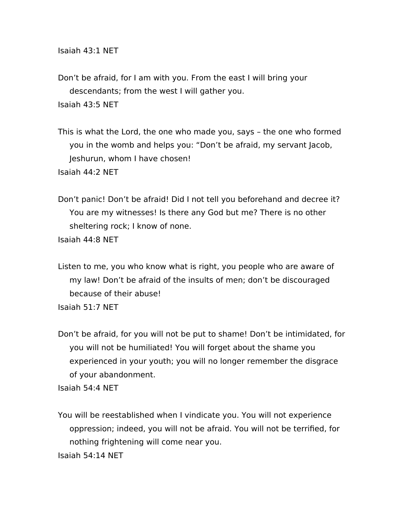Isaiah 43:1 NET

Don't be afraid, for I am with you. From the east I will bring your descendants; from the west I will gather you. Isaiah 43:5 NET

This is what the Lord, the one who made you, says – the one who formed you in the womb and helps you: "Don't be afraid, my servant Jacob, Jeshurun, whom I have chosen!

Isaiah 44:2 NET

Don't panic! Don't be afraid! Did I not tell you beforehand and decree it? You are my witnesses! Is there any God but me? There is no other sheltering rock; I know of none.

Isaiah 44:8 NET

Listen to me, you who know what is right, you people who are aware of my law! Don't be afraid of the insults of men; don't be discouraged because of their abuse! Isaiah 51:7 NET

Don't be afraid, for you will not be put to shame! Don't be intimidated, for you will not be humiliated! You will forget about the shame you experienced in your youth; you will no longer remember the disgrace of your abandonment.

Isaiah 54:4 NET

You will be reestablished when I vindicate you. You will not experience oppression; indeed, you will not be afraid. You will not be terrified, for nothing frightening will come near you. Isaiah 54:14 NET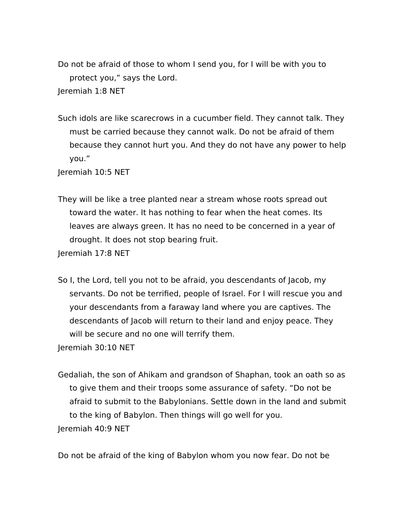Do not be afraid of those to whom I send you, for I will be with you to protect you," says the Lord. Jeremiah 1:8 NET

Such idols are like scarecrows in a cucumber field. They cannot talk. They must be carried because they cannot walk. Do not be afraid of them because they cannot hurt you. And they do not have any power to help you."

Jeremiah 10:5 NET

They will be like a tree planted near a stream whose roots spread out toward the water. It has nothing to fear when the heat comes. Its leaves are always green. It has no need to be concerned in a year of drought. It does not stop bearing fruit.

Jeremiah 17:8 NET

- So I, the Lord, tell you not to be afraid, you descendants of Jacob, my servants. Do not be terrified, people of Israel. For I will rescue you and your descendants from a faraway land where you are captives. The descendants of Jacob will return to their land and enjoy peace. They will be secure and no one will terrify them. Jeremiah 30:10 NET
- Gedaliah, the son of Ahikam and grandson of Shaphan, took an oath so as to give them and their troops some assurance of safety. "Do not be afraid to submit to the Babylonians. Settle down in the land and submit to the king of Babylon. Then things will go well for you. Jeremiah 40:9 NET

Do not be afraid of the king of Babylon whom you now fear. Do not be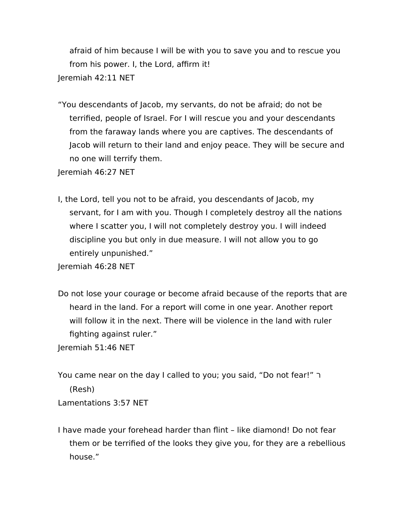afraid of him because I will be with you to save you and to rescue you from his power. I, the Lord, affirm it!

Jeremiah 42:11 NET

"You descendants of Jacob, my servants, do not be afraid; do not be terrified, people of Israel. For I will rescue you and your descendants from the faraway lands where you are captives. The descendants of Jacob will return to their land and enjoy peace. They will be secure and no one will terrify them.

Jeremiah 46:27 NET

I, the Lord, tell you not to be afraid, you descendants of Jacob, my servant, for I am with you. Though I completely destroy all the nations where I scatter you, I will not completely destroy you. I will indeed discipline you but only in due measure. I will not allow you to go entirely unpunished."

Jeremiah 46:28 NET

Do not lose your courage or become afraid because of the reports that are heard in the land. For a report will come in one year. Another report will follow it in the next. There will be violence in the land with ruler fighting against ruler."

Jeremiah 51:46 NET

You came near on the day I called to you; you said, "Do not fear!" ר (Resh) Lamentations 3:57 NET

I have made your forehead harder than flint – like diamond! Do not fear them or be terrified of the looks they give you, for they are a rebellious house."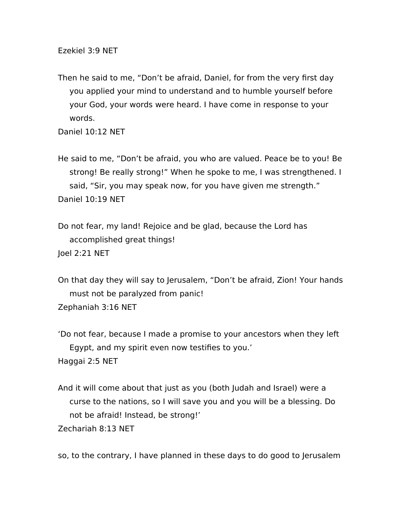Ezekiel 3:9 NET

Then he said to me, "Don't be afraid, Daniel, for from the very first day you applied your mind to understand and to humble yourself before your God, your words were heard. I have come in response to your words.

Daniel 10:12 NET

He said to me, "Don't be afraid, you who are valued. Peace be to you! Be strong! Be really strong!" When he spoke to me, I was strengthened. I said, "Sir, you may speak now, for you have given me strength." Daniel 10:19 NET

Do not fear, my land! Rejoice and be glad, because the Lord has accomplished great things! Joel 2:21 NET

On that day they will say to Jerusalem, "Don't be afraid, Zion! Your hands must not be paralyzed from panic! Zephaniah 3:16 NET

'Do not fear, because I made a promise to your ancestors when they left Egypt, and my spirit even now testifies to you.' Haggai 2:5 NET

And it will come about that just as you (both Judah and Israel) were a curse to the nations, so I will save you and you will be a blessing. Do not be afraid! Instead, be strong!'

Zechariah 8:13 NET

so, to the contrary, I have planned in these days to do good to Jerusalem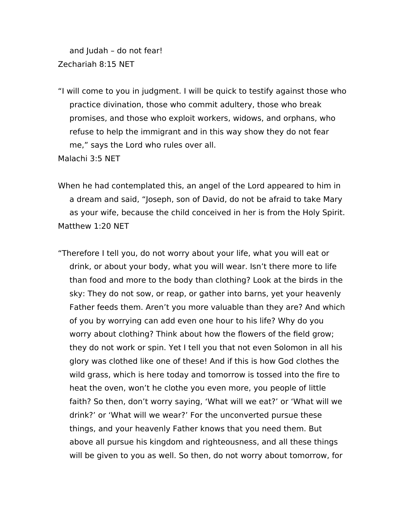and Judah – do not fear! Zechariah 8:15 NET

"I will come to you in judgment. I will be quick to testify against those who practice divination, those who commit adultery, those who break promises, and those who exploit workers, widows, and orphans, who refuse to help the immigrant and in this way show they do not fear me," says the Lord who rules over all.

Malachi 3:5 NET

- When he had contemplated this, an angel of the Lord appeared to him in a dream and said, "Joseph, son of David, do not be afraid to take Mary as your wife, because the child conceived in her is from the Holy Spirit. Matthew 1:20 NET
- "Therefore I tell you, do not worry about your life, what you will eat or drink, or about your body, what you will wear. Isn't there more to life than food and more to the body than clothing? Look at the birds in the sky: They do not sow, or reap, or gather into barns, yet your heavenly Father feeds them. Aren't you more valuable than they are? And which of you by worrying can add even one hour to his life? Why do you worry about clothing? Think about how the flowers of the field grow; they do not work or spin. Yet I tell you that not even Solomon in all his glory was clothed like one of these! And if this is how God clothes the wild grass, which is here today and tomorrow is tossed into the fire to heat the oven, won't he clothe you even more, you people of little faith? So then, don't worry saying, 'What will we eat?' or 'What will we drink?' or 'What will we wear?' For the unconverted pursue these things, and your heavenly Father knows that you need them. But above all pursue his kingdom and righteousness, and all these things will be given to you as well. So then, do not worry about tomorrow, for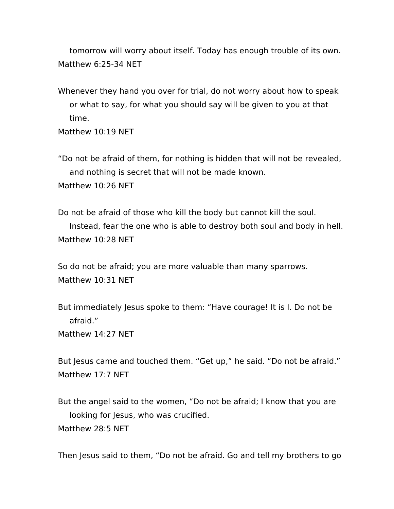tomorrow will worry about itself. Today has enough trouble of its own. Matthew 6:25-34 NET

Whenever they hand you over for trial, do not worry about how to speak or what to say, for what you should say will be given to you at that time.

Matthew 10:19 NET

"Do not be afraid of them, for nothing is hidden that will not be revealed, and nothing is secret that will not be made known. Matthew 10:26 NET

Do not be afraid of those who kill the body but cannot kill the soul. Instead, fear the one who is able to destroy both soul and body in hell. Matthew 10:28 NET

So do not be afraid; you are more valuable than many sparrows. Matthew 10:31 NET

But immediately Jesus spoke to them: "Have courage! It is I. Do not be afraid."

Matthew 14:27 NET

But Jesus came and touched them. "Get up," he said. "Do not be afraid." Matthew 17:7 NET

But the angel said to the women, "Do not be afraid; I know that you are looking for Jesus, who was crucified. Matthew 28:5 NET

Then Jesus said to them, "Do not be afraid. Go and tell my brothers to go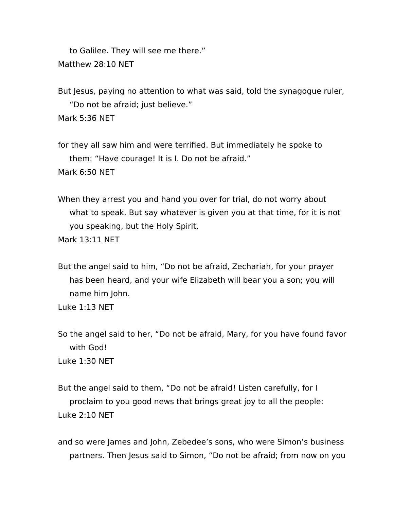to Galilee. They will see me there." Matthew 28:10 NET

But Jesus, paying no attention to what was said, told the synagogue ruler, "Do not be afraid; just believe."

Mark 5:36 NET

for they all saw him and were terrified. But immediately he spoke to them: "Have courage! It is I. Do not be afraid."

Mark 6:50 NET

When they arrest you and hand you over for trial, do not worry about what to speak. But say whatever is given you at that time, for it is not you speaking, but the Holy Spirit.

Mark 13:11 NET

But the angel said to him, "Do not be afraid, Zechariah, for your prayer has been heard, and your wife Elizabeth will bear you a son; you will name him John.

Luke 1:13 NET

So the angel said to her, "Do not be afraid, Mary, for you have found favor with God! Luke 1:30 NET

But the angel said to them, "Do not be afraid! Listen carefully, for I proclaim to you good news that brings great joy to all the people: Luke 2:10 NET

and so were James and John, Zebedee's sons, who were Simon's business partners. Then Jesus said to Simon, "Do not be afraid; from now on you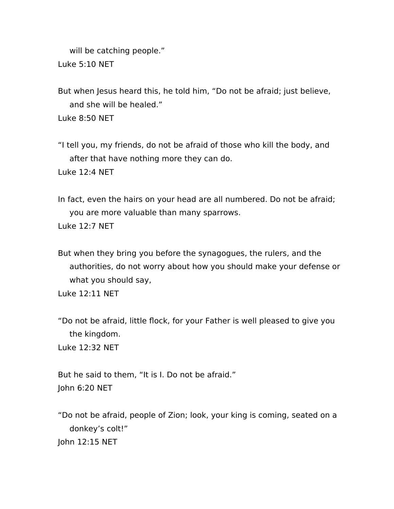will be catching people." Luke 5:10 NET

But when Jesus heard this, he told him, "Do not be afraid; just believe, and she will be healed."

Luke 8:50 NET

"I tell you, my friends, do not be afraid of those who kill the body, and after that have nothing more they can do.

Luke 12:4 NET

In fact, even the hairs on your head are all numbered. Do not be afraid; you are more valuable than many sparrows.

Luke 12:7 NET

But when they bring you before the synagogues, the rulers, and the authorities, do not worry about how you should make your defense or what you should say,

Luke 12:11 NET

"Do not be afraid, little flock, for your Father is well pleased to give you the kingdom.

Luke 12:32 NET

But he said to them, "It is I. Do not be afraid." John 6:20 NET

"Do not be afraid, people of Zion; look, your king is coming, seated on a donkey's colt!" John 12:15 NET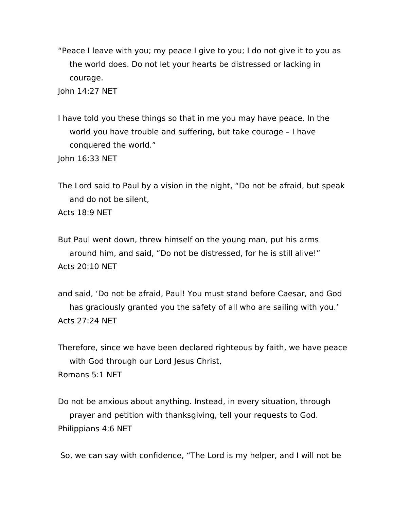"Peace I leave with you; my peace I give to you; I do not give it to you as the world does. Do not let your hearts be distressed or lacking in courage.

John 14:27 NET

I have told you these things so that in me you may have peace. In the world you have trouble and suffering, but take courage – I have conquered the world."

John 16:33 NET

The Lord said to Paul by a vision in the night, "Do not be afraid, but speak and do not be silent,

Acts 18:9 NET

But Paul went down, threw himself on the young man, put his arms around him, and said, "Do not be distressed, for he is still alive!" Acts  $20:10$  NFT

and said, 'Do not be afraid, Paul! You must stand before Caesar, and God has graciously granted you the safety of all who are sailing with you.' Acts 27:24 NET

Therefore, since we have been declared righteous by faith, we have peace with God through our Lord Jesus Christ,

Romans 5:1 NET

Do not be anxious about anything. Instead, in every situation, through prayer and petition with thanksgiving, tell your requests to God. Philippians 4:6 NET

So, we can say with confidence, "The Lord is my helper, and I will not be